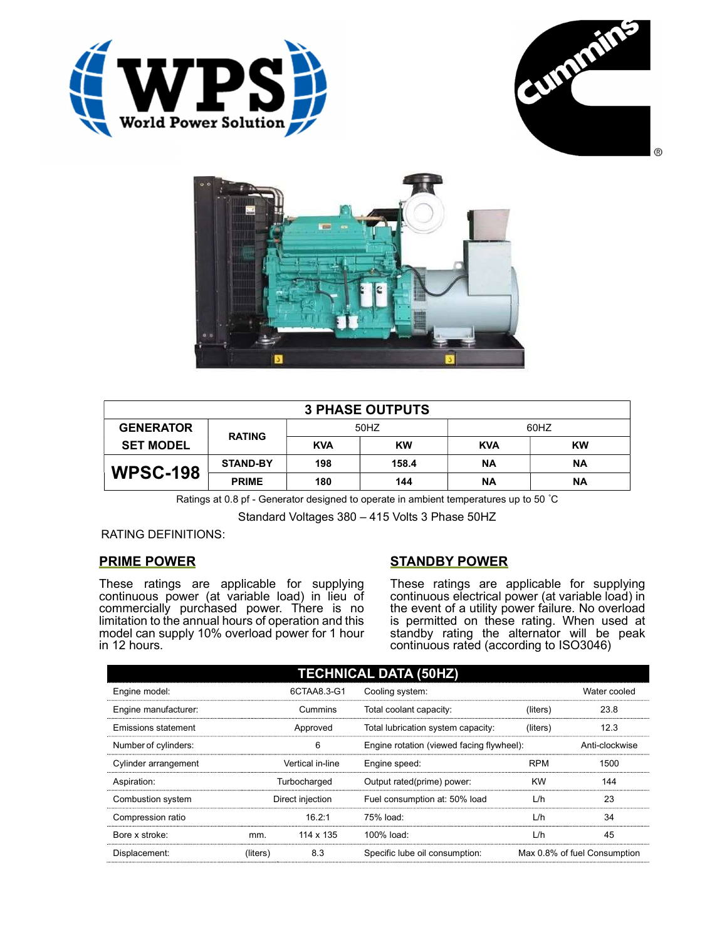





| <b>3 PHASE OUTPUTS</b> |                 |            |           |            |           |  |
|------------------------|-----------------|------------|-----------|------------|-----------|--|
| <b>GENERATOR</b>       | <b>RATING</b>   | 50HZ       |           | 60HZ       |           |  |
| <b>SET MODEL</b>       |                 | <b>KVA</b> | <b>KW</b> | <b>KVA</b> | <b>KW</b> |  |
| <b>WPSC-198</b>        | <b>STAND-BY</b> | 198        | 158.4     | ΝA         | ΝA        |  |
|                        | <b>PRIME</b>    | 180        | 144       | <b>NA</b>  | ΝA        |  |

Ratings at 0.8 pf - Generator designed to operate in ambient temperatures up to 50 °C

Standard Voltages 380 – 415 Volts 3 Phase 50HZ

# RATING DEFINITIONS:

# PRIME POWER

These ratings are applicable for supplying continuous power (at variable load) in lieu of commercially purchased power. There is no limitation to the annual hours of operation and this model can supply 10% overload power for 1 hour in 12 hours.

# STANDBY POWER

These ratings are applicable for supplying continuous electrical power (at variable load) in the event of a utility power failure. No overload is permitted on these rating. When used at standby rating the alternator will be peak continuous rated (according to ISO3046)

| <b>TECHNICAL DATA (50HZ)</b> |                  |             |                                           |            |                              |  |  |
|------------------------------|------------------|-------------|-------------------------------------------|------------|------------------------------|--|--|
| Engine model:                |                  | 6CTAA8.3-G1 | Cooling system:                           |            | Water cooled                 |  |  |
| Engine manufacturer:         | Cummins          |             | Total coolant capacity:                   | (liters)   | 23.8                         |  |  |
| Emissions statement          | Approved         |             | Total lubrication system capacity:        | (liters)   | 12.3                         |  |  |
| Number of cylinders:         |                  | 6           | Engine rotation (viewed facing flywheel): |            | Anti-clockwise               |  |  |
| Cylinder arrangement         | Vertical in-line |             | Engine speed:                             | <b>RPM</b> | 1500                         |  |  |
| Aspiration:                  | Turbocharged     |             | Output rated(prime) power:                | <b>KW</b>  | 144                          |  |  |
| Combustion system            | Direct injection |             | Fuel consumption at: 50% load             | L/h        | 23                           |  |  |
| Compression ratio            |                  | 16.2:1      | 75% load:                                 | L/h        | 34                           |  |  |
| Bore x stroke:               | mm.              | 114 x 135   | 100% load:                                | L/h        | 45                           |  |  |
| Displacement:                | (liters)         | 8.3         | Specific lube oil consumption:            |            | Max 0.8% of fuel Consumption |  |  |